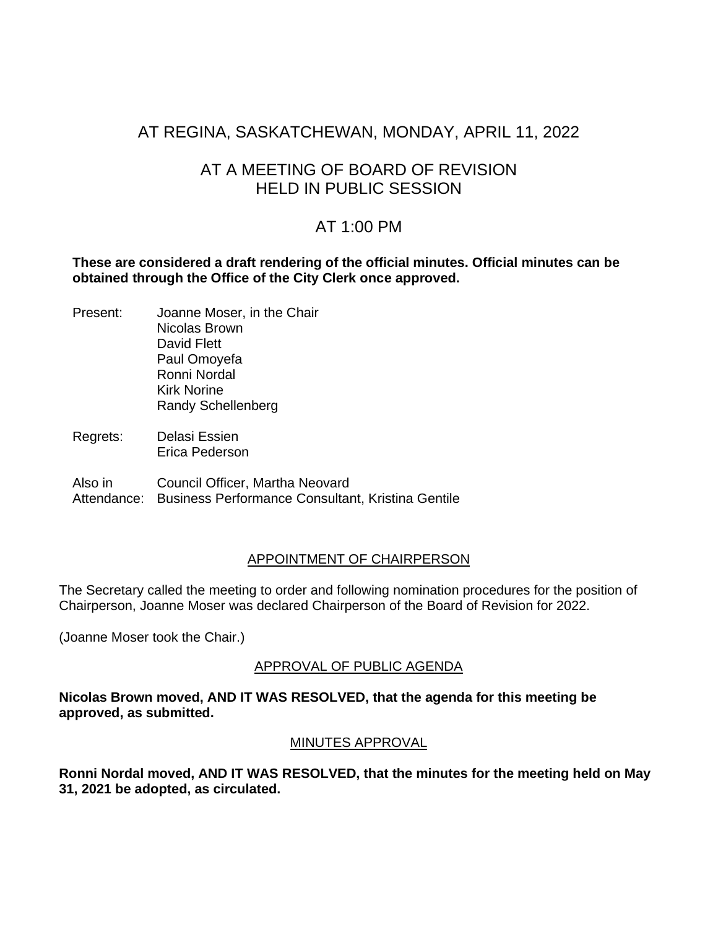# AT REGINA, SASKATCHEWAN, MONDAY, APRIL 11, 2022

# AT A MEETING OF BOARD OF REVISION HELD IN PUBLIC SESSION

# AT 1:00 PM

**These are considered a draft rendering of the official minutes. Official minutes can be obtained through the Office of the City Clerk once approved.**

- Present: Joanne Moser, in the Chair Nicolas Brown David Flett Paul Omoyefa Ronni Nordal Kirk Norine Randy Schellenberg
- Regrets: Delasi Essien Erica Pederson

Also in Attendance: Business Performance Consultant, Kristina Gentile Council Officer, Martha Neovard

#### APPOINTMENT OF CHAIRPERSON

The Secretary called the meeting to order and following nomination procedures for the position of Chairperson, Joanne Moser was declared Chairperson of the Board of Revision for 2022.

(Joanne Moser took the Chair.)

## APPROVAL OF PUBLIC AGENDA

**Nicolas Brown moved, AND IT WAS RESOLVED, that the agenda for this meeting be approved, as submitted.**

#### MINUTES APPROVAL

**Ronni Nordal moved, AND IT WAS RESOLVED, that the minutes for the meeting held on May 31, 2021 be adopted, as circulated.**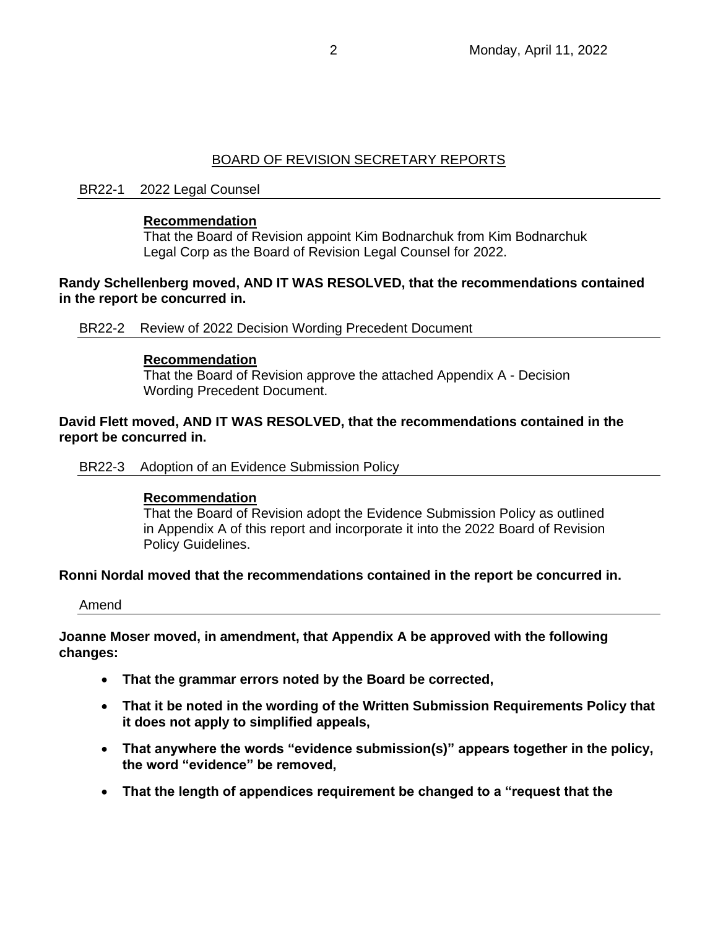# BOARD OF REVISION SECRETARY REPORTS

#### BR22-1 2022 Legal Counsel

#### **Recommendation**

That the Board of Revision appoint Kim Bodnarchuk from Kim Bodnarchuk Legal Corp as the Board of Revision Legal Counsel for 2022.

#### **Randy Schellenberg moved, AND IT WAS RESOLVED, that the recommendations contained in the report be concurred in.**

BR22-2 Review of 2022 Decision Wording Precedent Document

#### **Recommendation**

That the Board of Revision approve the attached Appendix A - Decision Wording Precedent Document.

#### **David Flett moved, AND IT WAS RESOLVED, that the recommendations contained in the report be concurred in.**

BR22-3 Adoption of an Evidence Submission Policy

#### **Recommendation**

That the Board of Revision adopt the Evidence Submission Policy as outlined in Appendix A of this report and incorporate it into the 2022 Board of Revision Policy Guidelines.

#### **Ronni Nordal moved that the recommendations contained in the report be concurred in.**

Amend

**Joanne Moser moved, in amendment, that Appendix A be approved with the following changes:**

- **That the grammar errors noted by the Board be corrected,**
- **That it be noted in the wording of the Written Submission Requirements Policy that it does not apply to simplified appeals,**
- **That anywhere the words "evidence submission(s)" appears together in the policy, the word "evidence" be removed,**
- **That the length of appendices requirement be changed to a "request that the**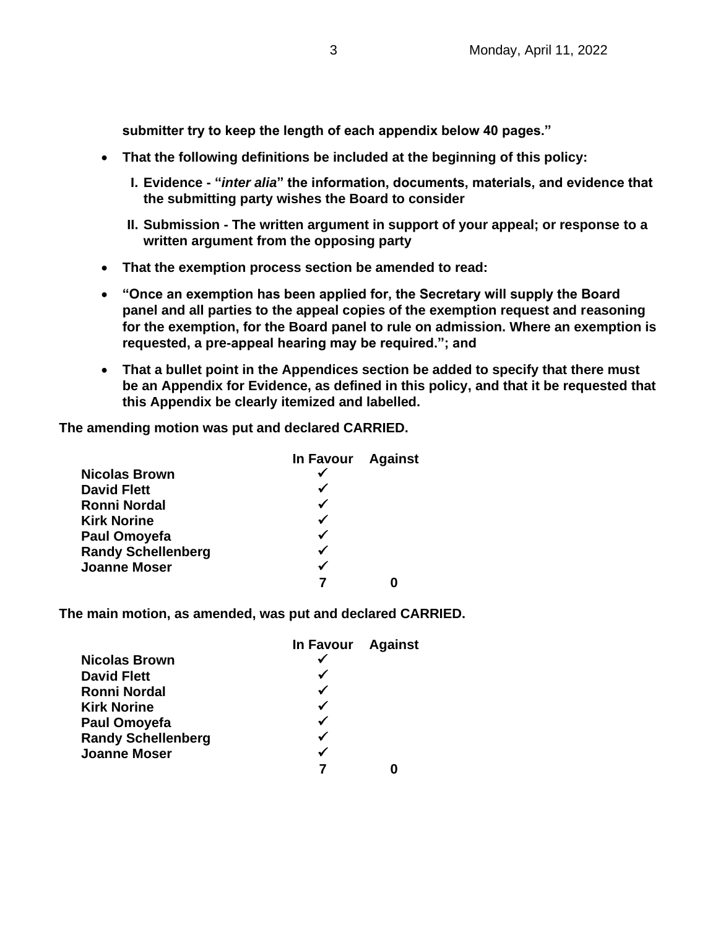**submitter try to keep the length of each appendix below 40 pages."**

- **That the following definitions be included at the beginning of this policy:**
	- **I. Evidence - "***inter alia***" the information, documents, materials, and evidence that the submitting party wishes the Board to consider**
	- **II. Submission - The written argument in support of your appeal; or response to a written argument from the opposing party**
- **That the exemption process section be amended to read:**
- **"Once an exemption has been applied for, the Secretary will supply the Board panel and all parties to the appeal copies of the exemption request and reasoning for the exemption, for the Board panel to rule on admission. Where an exemption is requested, a pre-appeal hearing may be required."; and**
- **That a bullet point in the Appendices section be added to specify that there must be an Appendix for Evidence, as defined in this policy, and that it be requested that this Appendix be clearly itemized and labelled.**

**The amending motion was put and declared CARRIED.**

|                           | In Favour Against |  |
|---------------------------|-------------------|--|
| <b>Nicolas Brown</b>      |                   |  |
| <b>David Flett</b>        |                   |  |
| <b>Ronni Nordal</b>       |                   |  |
| <b>Kirk Norine</b>        |                   |  |
| <b>Paul Omoyefa</b>       |                   |  |
| <b>Randy Schellenberg</b> |                   |  |
| <b>Joanne Moser</b>       | ✔                 |  |
|                           |                   |  |

**The main motion, as amended, was put and declared CARRIED.**

|                           | In Favour Against |  |
|---------------------------|-------------------|--|
| <b>Nicolas Brown</b>      |                   |  |
| <b>David Flett</b>        |                   |  |
| <b>Ronni Nordal</b>       |                   |  |
| <b>Kirk Norine</b>        |                   |  |
| <b>Paul Omoyefa</b>       |                   |  |
| <b>Randy Schellenberg</b> |                   |  |
| <b>Joanne Moser</b>       |                   |  |
|                           |                   |  |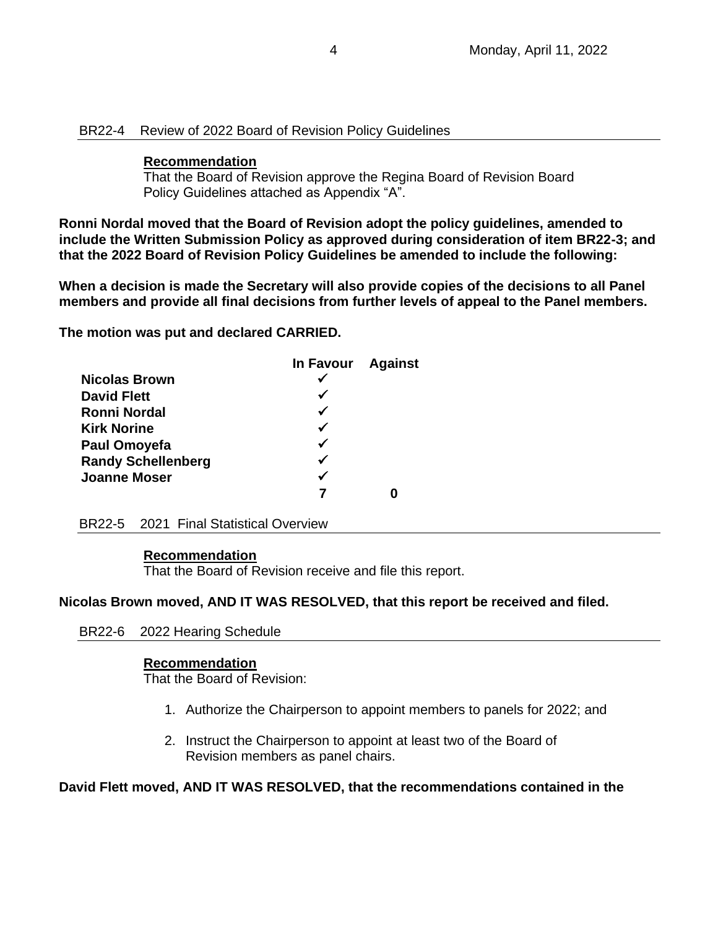#### BR22-4 Review of 2022 Board of Revision Policy Guidelines

#### **Recommendation**

That the Board of Revision approve the Regina Board of Revision Board Policy Guidelines attached as Appendix "A".

**Ronni Nordal moved that the Board of Revision adopt the policy guidelines, amended to include the Written Submission Policy as approved during consideration of item BR22-3; and that the 2022 Board of Revision Policy Guidelines be amended to include the following:**

**When a decision is made the Secretary will also provide copies of the decisions to all Panel members and provide all final decisions from further levels of appeal to the Panel members.**

**The motion was put and declared CARRIED.**

|                           | In Favour Against |  |
|---------------------------|-------------------|--|
| <b>Nicolas Brown</b>      |                   |  |
| <b>David Flett</b>        |                   |  |
| Ronni Nordal              | √                 |  |
| <b>Kirk Norine</b>        |                   |  |
| <b>Paul Omoyefa</b>       | ✔                 |  |
| <b>Randy Schellenberg</b> | ✔                 |  |
| <b>Joanne Moser</b>       |                   |  |
|                           |                   |  |

BR22-5 2021 Final Statistical Overview

#### **Recommendation**

That the Board of Revision receive and file this report.

#### **Nicolas Brown moved, AND IT WAS RESOLVED, that this report be received and filed.**

BR22-6 2022 Hearing Schedule

#### **Recommendation**

That the Board of Revision:

- 1. Authorize the Chairperson to appoint members to panels for 2022; and
- 2. Instruct the Chairperson to appoint at least two of the Board of Revision members as panel chairs.

**David Flett moved, AND IT WAS RESOLVED, that the recommendations contained in the**